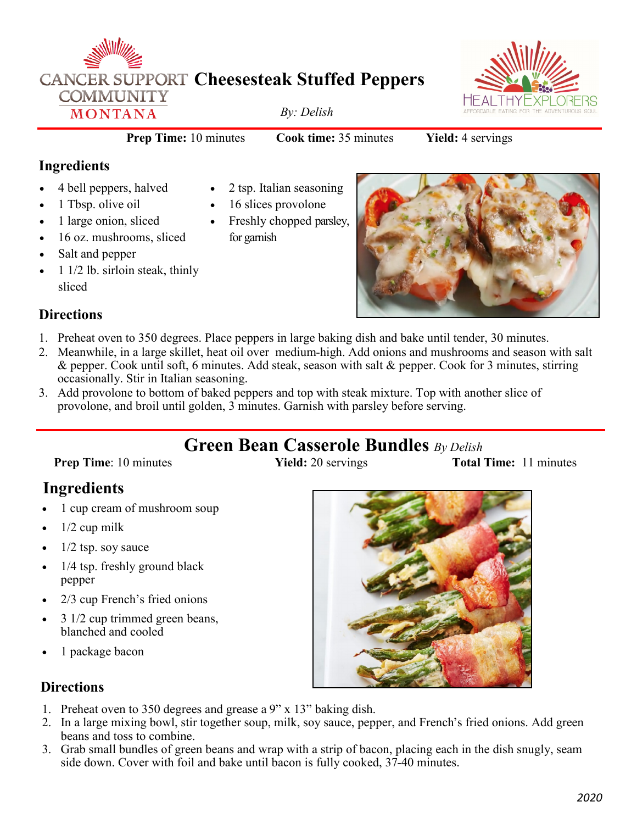



**Prep Time:** 10 minutes **Cook time:** 35 minutes **Yield:** 4 servings

### **Ingredients**

- 4 bell peppers, halved
- 1 Tbsp. olive oil
- 1 large onion, sliced
- 16 oz. mushrooms, sliced
- Salt and pepper
- 1 1/2 lb. sirloin steak, thinly sliced
- 2 tsp. Italian seasoning
- 16 slices provolone
- Freshly chopped parsley, for garnish



### **Directions**

- 1. Preheat oven to 350 degrees. Place peppers in large baking dish and bake until tender, 30 minutes.
- 2. Meanwhile, in a large skillet, heat oil over medium-high. Add onions and mushrooms and season with salt & pepper. Cook until soft, 6 minutes. Add steak, season with salt & pepper. Cook for 3 minutes, stirring occasionally. Stir in Italian seasoning.
- 3. Add provolone to bottom of baked peppers and top with steak mixture. Top with another slice of provolone, and broil until golden, 3 minutes. Garnish with parsley before serving.

# **Green Bean Casserole Bundles** *By Delish*

**Prep Time**: 10 minutes **Yield:** 20 servings **Total Time:** 11 minutes

# **Ingredients**

- 1 cup cream of mushroom soup
- $1/2$  cup milk
- $1/2$  tsp. soy sauce
- 1/4 tsp. freshly ground black pepper
- 2/3 cup French's fried onions
- 3 1/2 cup trimmed green beans, blanched and cooled
- 1 package bacon

### **Directions**

- 1. Preheat oven to 350 degrees and grease a 9" x 13" baking dish.
- 2. In a large mixing bowl, stir together soup, milk, soy sauce, pepper, and French's fried onions. Add green beans and toss to combine.
- 3. Grab small bundles of green beans and wrap with a strip of bacon, placing each in the dish snugly, seam side down. Cover with foil and bake until bacon is fully cooked, 37-40 minutes.